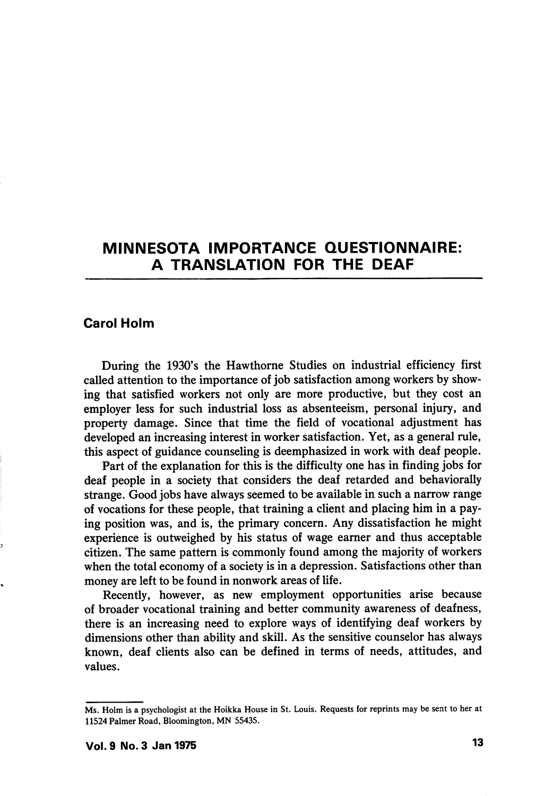# MINNESOTA IMPORTANCE QUESTIONNAIRE: A TRANSLATION FOR THE DEAF

# Carol Holm

During the 1930's the Hawthorne Studies on industrial efficiency first called attention to the importance of job satisfaction among workers by show ing that satisfied workers not only are more productive, but they cost an employer less for such industrial loss as absenteeism, personal injury, and property damage. Since that time the field of vocational adjustment has developed an increasing interest in worker satisfaction. Yet, as a general rule, this aspect of guidance counseling is deemphasized in work with deaf people.

Part of the explanation for this is the difficulty one has in finding jobs for deaf people in a society that considers the deaf retarded and behaviorally strange. Good jobs have always seemed to be available in such a narrow range of vocations for these people, that training a client and placing him in a pay ing position was, and is, the primary concern. Any dissatisfaction he might experience is outweighed by his status of wage earner and thus acceptable citizen. The same pattern is commonly found among the majority of workers when the total economy of a society is in a depression. Satisfactions other than money are left to be found in nonwork areas of life.

Recently, however, as new employment opportunities arise because of broader vocational training and better community awareness of deafness, there is an increasing need to explore ways of identifying deaf workers by dimensions other than ability and skill. As the sensitive counselor has always known, deaf clients also can be defined in terms of needs, attitudes, and values.

Ms. Holm is a psychologist at the Hoikka House in St. Louis. Requests for reprints may be sent to her at 11524 Palmer Road, Bloomington, MN 55435.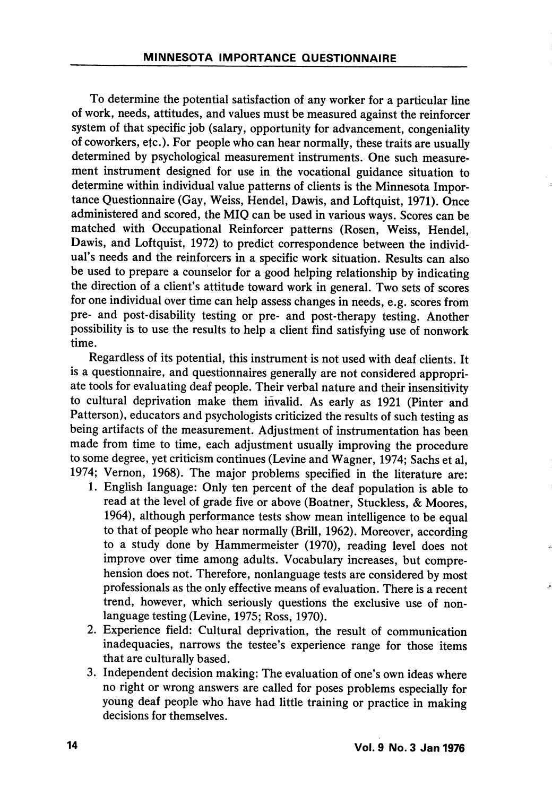To determine the potential satisfaction of any worker for a particular line of work, needs, attitudes, and values must be measured against the reinforcer system of that specific job (salary, opportunity for advancement, congeniality of coworkers, etc.). For people who can hear normally, these traits are usually determined by psychological measurement instruments. One such measure ment instrument designed for use in the vocational guidance situation to determine within individual value patterns of clients is the Minnesota Impor tance Questionnaire (Gay, Weiss, Hendel, Dawis, and Loftquist, 1971). Once administered and scored, the MIQ can be used in various ways. Scores can be matched with Occupational Reinforcer patterns (Rosen, Weiss, Hendel, Dawis, and Loftquist, 1972) to predict correspondence between the individ ual's needs and the reinforcers in a specific work situation. Results can also be used to prepare a counselor for a good helping relationship by indicating the direction of a client's attitude toward work in general. Two sets of scores for one individual over time can help assess changes in needs, e.g. scores from pre- and post-disability testing or pre- and post-therapy testing. Another possibility is to use the results to help a client find satisfying use of nonwork time.

Regardless of its potential, this instrument is not used with deaf clients. It is a questionnaire, and questionnaires generally are not considered appropri ate tools for evaluating deaf people. Their verbal nature and their insensitivity to cultural deprivation make them invalid. As early as 1921 (Pinter and Patterson), educators and psychologists criticized the results of such testing as being artifacts of the measurement. Adjustment of instrumentation has been made from time to time, each adjustment usually improving the procedure to some degree, yet criticism continues (Levine and Wagner, 1974; Sachs et al, 1974; Vernon, 1968). The major problems specified in the literature are:

- 1. English language: Only ten percent of the deaf population is able to read at the level of grade five or above (Boatner, Stuckless, & Moores, 1964), although performance tests show mean intelligence to be equal to that of people who hear normally (Brill, 1962). Moreover, according to a study done by Hammermeister (1970), reading level does not improve over time among adults. Vocabulary increases, but compre hension does not. Therefore, nonlanguage tests are considered by most professionals as the only effective means of evaluation. There is a recent trend, however, which seriously questions the exclusive use of nonlanguage testing (Levine, 1975; Ross, 1970).
- 2. Experience field: Cultural deprivation, the result of communication inadequacies, narrows the testee's experience range for those items that are culturally based.
- 3. Independent decision making: The evaluation of one's own ideas where no right or wrong answers are called for poses problems especially for young deaf people who have had little training or practice in making decisions for themselves.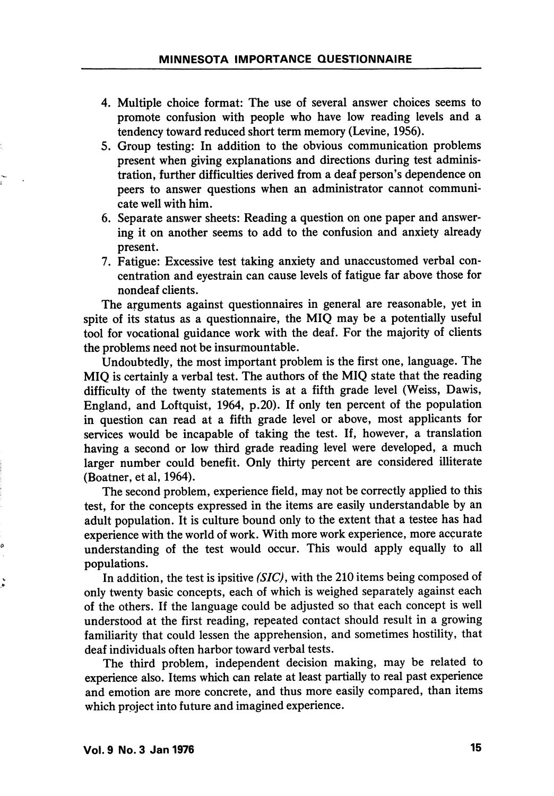- 4. Multiple choice format: The use of several answer choices seems to promote confusion with people who have low reading levels and a tendency toward reduced short term memory (Levine, 1956).
- 5. Group testing: In addition to the obvious communication problems present when giving explanations and directions during test adminis tration, further difficulties derived from a deaf person's dependence on peers to answer questions when an administrator cannot communi cate well with him.
- 6. Separate answer sheets: Reading a question on one paper and answer ing it on another seems to add to the confusion and anxiety already present.
- 7. Fatigue: Excessive test taking anxiety and unaccustomed verbal con centration and eyestrain can cause levels of fatigue far above those for nondeaf clients.

The arguments against questionnaires in general are reasonable, yet in spite of its status as a questionnaire, the MIQ may be a potentially useful tool for vocational guidance work with the deaf. For the majority of clients the problems need not be insurmountable.

Undoubtedly, the most important problem is the first one, language. The MIQ is certainly a verbal test. The authors of the MIQ state that the reading difficulty of the twenty statements is at a fifth grade level (Weiss, Dawis, England, and Loftquist, 1964, p.20). If only ten percent of the population in question can read at a fifth grade level or above, most applicants for services would be incapable of taking the test. If, however, a translation having a second or low third grade reading level were developed, a much larger number could benefit. Only thirty percent are considered illiterate (Boatner, et al, 1964).

The second problem, experience field, may not be correctly applied to this test, for the concepts expressed in the items are easily understandable by an adult population. It is culture bound only to the extent that a testee has had experience with the world of work. With more work experience, more accurate understanding of the test would occur. This would apply equally to all populations.

In addition, the test is ipsitive (SIC), with the 210 items being composed of only twenty basic concepts, each of which is weighed separately against each of the others. If the language could be adjusted so that each concept is well understood at the first reading, repeated contact should result in a growing familiarity that could lessen the apprehension, and sometimes hostility, that deaf individuals often harbor toward verbal tests.

The third problem, independent decision making, may be related to experience also. Items which can relate at least partially to real past experience and emotion are more concrete, and thus more easily compared, than items which project into future and imagined experience.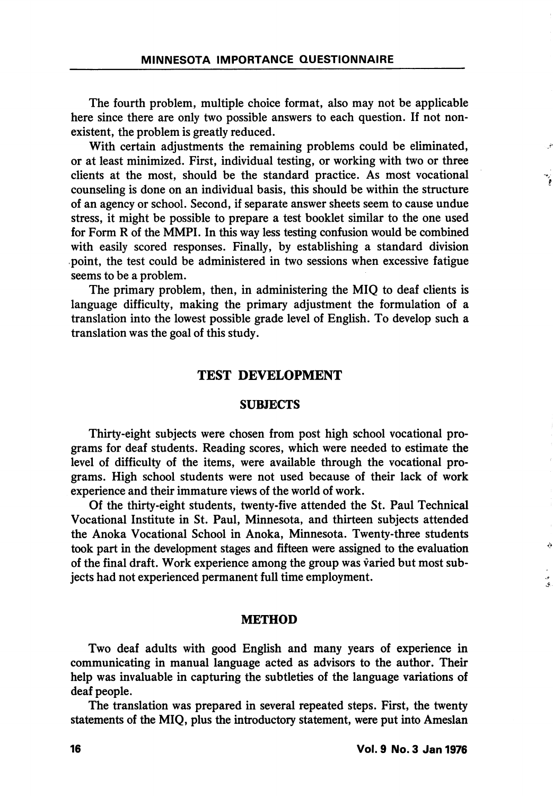The fourth problem, multiple choice format, also may not be applicable here since there are only two possible answers to each question. If not non existent, the problem is greatly reduced.

With certain adjustments the remaining problems could be eliminated, or at least minimized. First, individual testing, or working with two or three clients at the most, should be the standard practice. As most vocational counseling is done on an individual basis, this should be within the structure of an agency or school. Second, if separate answer sheets seem to cause undue stress, it might be possible to prepare a test booklet similar to the one used for Form R of the MMPI. In this way less testing confusion would be combined with easily scored responses. Finally, by establishing a standard division point, the test could be administered in two sessions when excessive fatigue seems to be a problem.

The primary problem, then, in administering the MIQ to deaf clients is language difficulty, making the primary adjustment the formulation of a translation into the lowest possible grade level of English. To develop such a translation was the goal of this study.

## TEST DEVELOPMENT

#### **SUBJECTS**

Thirty-eight subjects were chosen from post high school vocational pro grams for deaf students. Reading scores, which were needed to estimate the level of difficulty of the items, were available through the vocational pro grams. High school students were not used because of their lack of work experience and their immature views of the world of work.

Of the thirty-eight students, twenty-five attended the St. Paul Technical Vocational Institute in St. Paul, Minnesota, and thirteen subjects attended the Anoka Vocational School in Anoka, Minnesota. Twenty-three students took part in the development stages and fifteen were assigned to the evaluation of the final draft. Work experience among the group was varied but most sub jects had not experienced permanent full time employment.

#### METHOD

Two deaf adults with good English and many years of experience in communicating in manual language acted as advisors to the author. Their help was invaluable in capturing the subtleties of the language variations of deaf people.

The translation was prepared in several repeated steps. First, the twenty statements of the MIQ, plus the introductory statement, were put into Ameslan Á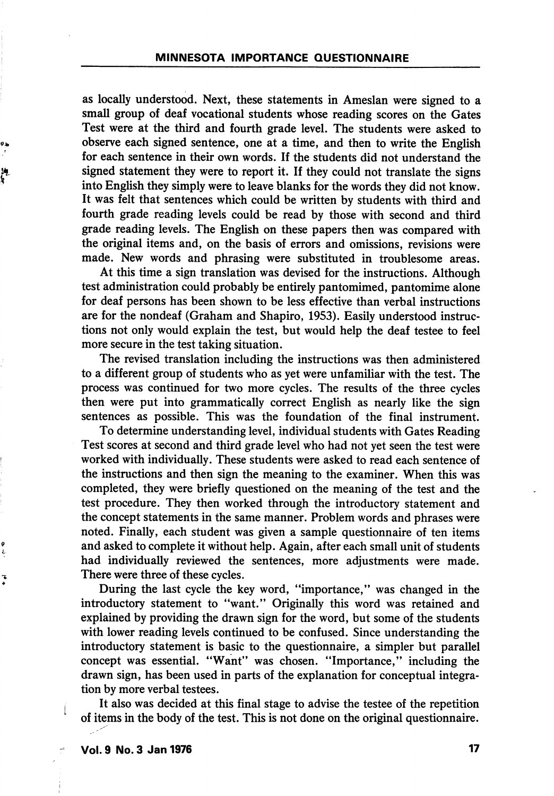as locally understood. Next, these statements in Ameslan were signed to a small group of deaf vocational students whose reading scores on the Gates Test were at the third and fourth grade level. The students were asked to observe each signed sentence, one at a time, and then to write the English for each sentence in their own words. If the students did not understand the signed statement they were to report it. If they could not translate the signs into English they simply were to leave blanks for the words they did not know. It was felt that sentences which could be written by students with third and fourth grade reading levels could be read by those with second and third grade reading levels. The English on these papers then was compared with the original items and, on the basis of errors and omissions, revisions were made. New words and phrasing were substituted in troublesome areas.

At this time a sign translation was devised for the instructions. Although test administration could probably be entirely pantomimed, pantomime alone for deaf persons has been shown to be less effective than verbal instructions are for the nondeaf (Graham and Shapiro, 1953). Easily understood instruc tions not only would explain the test, but would help the deaf testee to feel more secure in the test taking situation.

The revised translation including the instructions was then administered to a different group of students who as yet were unfamiliar with the test. The process was continued for two more cycles. The results of the three cycles then were put into grammatically correct English as nearly like the sign sentences as possible. This was the foundation of the final instrument.

To determine understanding level, individual students with Gates Reading Test scores at second and third grade level who had not yet seen the test were worked with individually. These students were asked to read each sentence of the instructions and then sign the meaning to the examiner. When this was completed, they were briefly questioned on the meaning of the test and the test procedure. They then worked through the introductory statement and the concept statements in the same manner. Problem words and phrases were noted. Finally, each student was given a sample questionnaire of ten items and asked to complete it without help. Again, after each small unit of students had individually reviewed the sentences, more adjustments were made. There were three of these cycles.

During the last cycle the key word, "importance," was changed in the introductory statement to "want." Originally this word was retained and explained by providing the drawn sign for the word, but some of the students with lower reading levels continued to be confused. Since understanding the introductory statement is basic to the questionnaire, a simpler but parallel concept was essential. "Want" was chosen. "Importance," including the drawn sign, has been used in parts of the explanation for conceptual integra tion by more verbal testees.

It also was decided at this final stage to advise the testee of the repetition of items in the body of the test. This is not done on the original questionnaire.

j.

تە<br>ق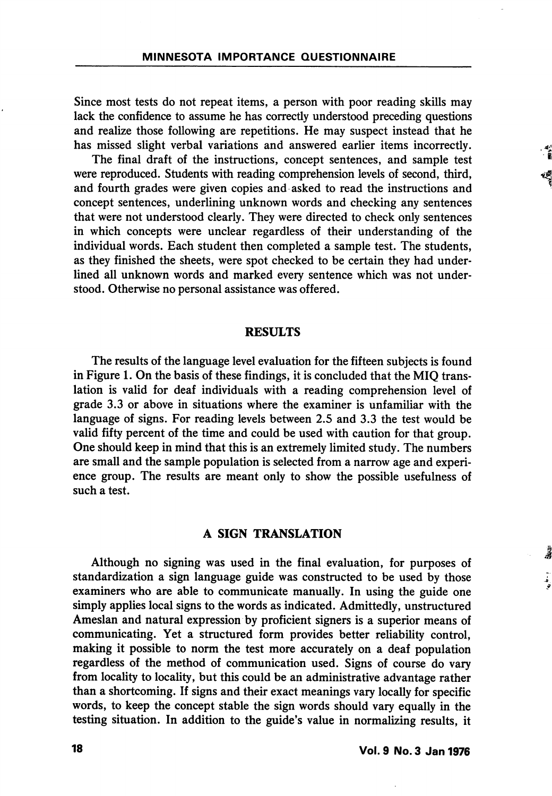Since most tests do not repeat items, a person with poor reading skills may lack the confidence to assume he has correctly understood preceding questions and realize those following are repetitions. He may suspect instead that he has missed slight verbal variations and answered earlier items incorrectly.

The final draft of the instructions, concept sentences, and sample test were reproduced. Students with reading comprehension levels of second, third, and fourth grades were given copies and asked to read the instructions and concept sentences, underlining unknown words and checking any sentences that were not understood clearly. They were directed to check only sentences in which concepts were unclear regardless of their understanding of the individual words. Each student then completed a sample test. The students, as they finished the sheets, were spot checked to be certain they had under lined all unknown words and marked every sentence which was not understood. Otherwise no personal assistance was offered.

## RESULTS

The results of the language level evaluation for the fifteen subjects is found in Figure 1. On the basis of these findings, it is concluded that the MIQ trans lation is valid for deaf individuals with a reading comprehension level of grade 3.3 or above in situations where the examiner is unfamiliar with the language of signs. For reading levels between 2.5 and 3.3 the test would be valid fifty percent of the time and could be used with caution for that group. One should keep in mind that this is an extremely limited study. The numbers are small and the sample population is selected from a narrow age and experi ence group. The results are meant only to show the possible usefulness of such a test.

## A SIGN TRANSLATION

Although no signing was used in the final evaluation, for purposes of standardization a sign language guide was constructed to be used by those examiners who are able to communicate manually. In using the guide one simply applies local signs to the words as indicated. Admittedly, unstructured Ameslan and natural expression by proficient signers is a superior means of communicating. Yet a structured form provides better reliability control, making it possible to norm the test more accurately on a deaf population regardless of the method of communication used. Signs of course do vary from locality to locality, but this could be an administrative advantage rather than a shortcoming. If signs and their exact meanings vary locally for specific words, to keep the concept stable the sign words should vary equally in the testing situation. In addition to the guide's value in normalizing results, it 。<br>者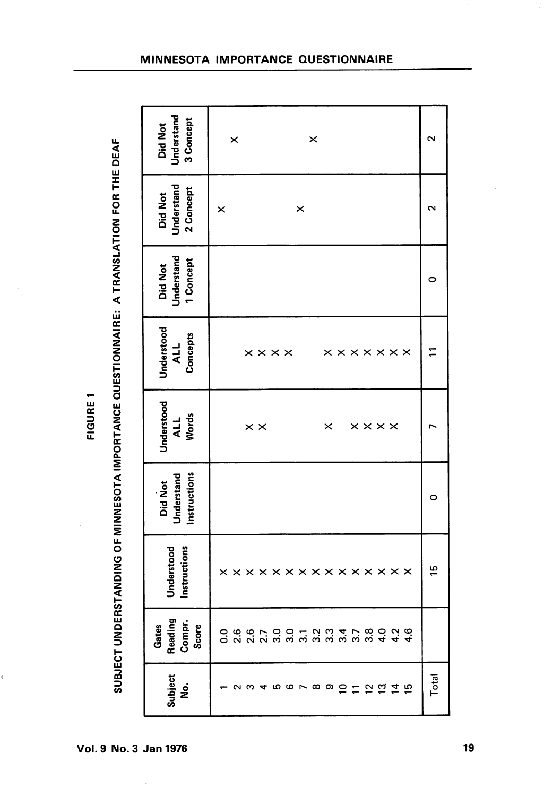| ı<br>L<br>L<br>ı |
|------------------|
| ï                |
|                  |
| í<br>۰           |
|                  |

Ï

SUBJECT UNDERSTANDING OF MINNESOTA IMPORTANCE QUESTIONNAIRE: A TRANSLATION FOR THE DEAF SUBSTANDING OF MINNESOTATION OF MINING OF MINING OF MINING OF MINING A TRANSLATION FOR MINING A TRANSLATION FOR THE DEAFT

| Understand<br>3 Concept<br><b>Did Not</b> | ×<br>$\times$                                               | $\mathbf{\Omega}$ |
|-------------------------------------------|-------------------------------------------------------------|-------------------|
| Understand<br>2 Concept<br>Did Not        | ×<br>×                                                      | N                 |
| Understand<br>1 Concept<br><b>Did Not</b> |                                                             | 0                 |
| Understood<br>Concepts<br><b>ALL</b>      | <b>x x x x x x x</b><br>$\times \times \times \times$       |                   |
| Understood<br><b>Words</b><br><b>ALL</b>  | $\times\times\times\times$<br>$\times$ $\times$<br>$\times$ |                   |
| Instructions<br>Understand<br>Did Not     |                                                             | 0                 |
| Understood<br>Instructions                | x x x x x x x x x x x x x x x<br>×                          | $\frac{5}{1}$     |
| Gates<br>Reading<br>Compr.<br>Score       |                                                             |                   |
| Subject<br>$\dot{\mathbf{g}}$             | <b>5678900000000</b>                                        | Total             |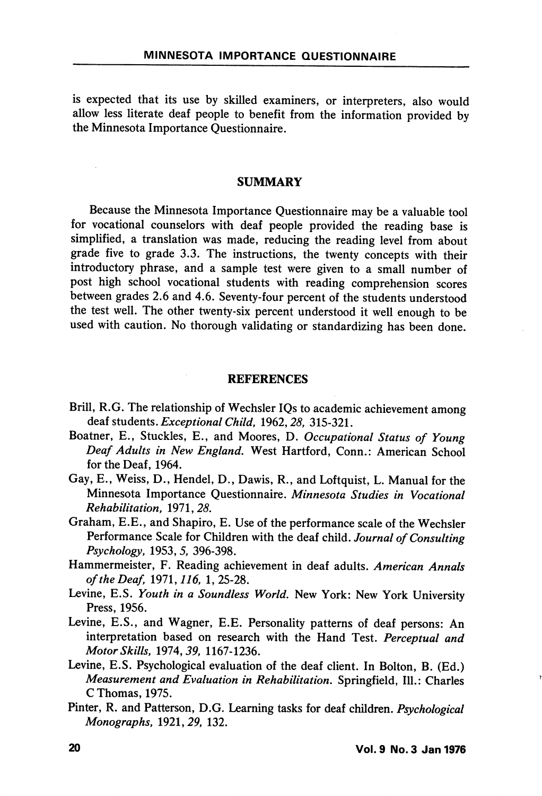is expected that its use by skilled examiners, or interpreters, also would allow less literate deaf people to benefit from the information provided by the Minnesota Importance Questionnaire.

## SUMMARY

Because the Minnesota Importance Questionnaire may be a valuable tool for vocational counselors with deaf people provided the reading base is simplified, a translation was made, reducing the reading level from about grade five to grade 3.3. The instructions, the twenty concepts with their introductory phrase, and a sample test were given to a small number of post high school vocational students with reading comprehension scores between grades 2.6 and 4.6. Seventy-four percent of the students understood the test well. The other twenty-six percent understood it well enough to be used with caution. No thorough validating or standardizing has been done.

## REFERENCES

- Brill, R.G. The relationship of Wechsler IQs to academic achievement among deaf students. Exceptional Child, 1962, 28, 315-321.
- Boatner, E., Stuckles, E., and Moores, D. Occupational Status of Young Deaf Adults in New England. West Hartford, Conn.: American School for the Deaf, 1964.
- Gay, E., Weiss, D., Hendel, D., Dawis, R., and Loftquist, L. Manual for the Minnesota Importance Questionnaire. Minnesota Studies in Vocational Rehabilitation, 1971,25.
- Graham, E.E., and Shapiro, E. Use of the performance scale of the Wechsler Performance Scale for Children with the deaf child. Journal of Consulting Psychology, 1953, 5, 396-398.
- Hammermeister, F. Reading achievement in deaf adults. American Annals of the Deaf, 1971, 116, 1, 25-28.
- Levine, E.S. Youth in a Soundless World. New York: New York University Press, 1956.
- Levine, E.S., and Wagner, E.E. Personality patterns of deaf persons: An interpretation based on research with the Hand Test. Perceptual and Motor Skills, 1974, 39, 1167-1236.
- Levine, E.S. Psychological evaluation of the deaf client. In Bolton, B. (Ed.) Measurement and Evaluation in Rehabilitation. Springfield, 111.: Charles C Thomas, 1975.
- Pinter, R. and Patterson, D.G. Learning tasks for deaf children. Psychological Monographs, 1921,29, 132.